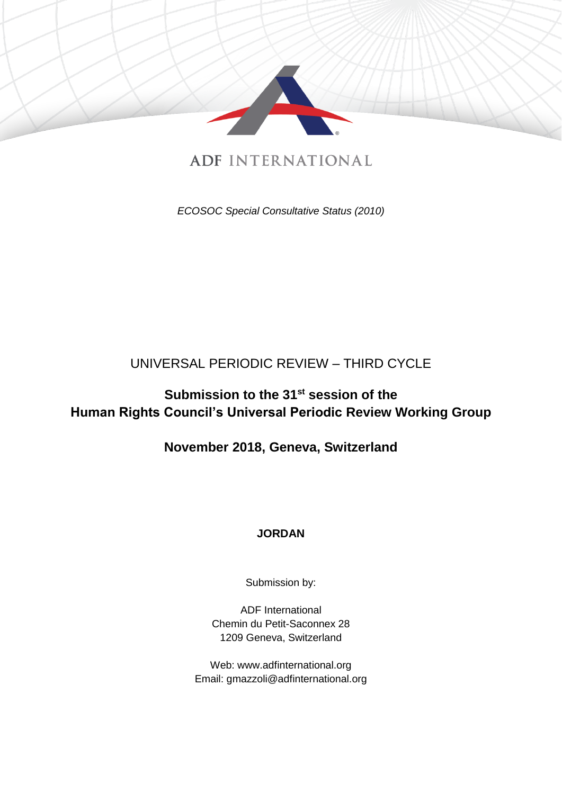

# **ADF INTERNATIONAL**

*ECOSOC Special Consultative Status (2010)*

## UNIVERSAL PERIODIC REVIEW – THIRD CYCLE

## **Submission to the 31 st session of the Human Rights Council's Universal Periodic Review Working Group**

**November 2018, Geneva, Switzerland**

## **JORDAN**

Submission by:

ADF International Chemin du Petit-Saconnex 28 1209 Geneva, Switzerland

Web: www.adfinternational.org Email: gmazzoli@adfinternational.org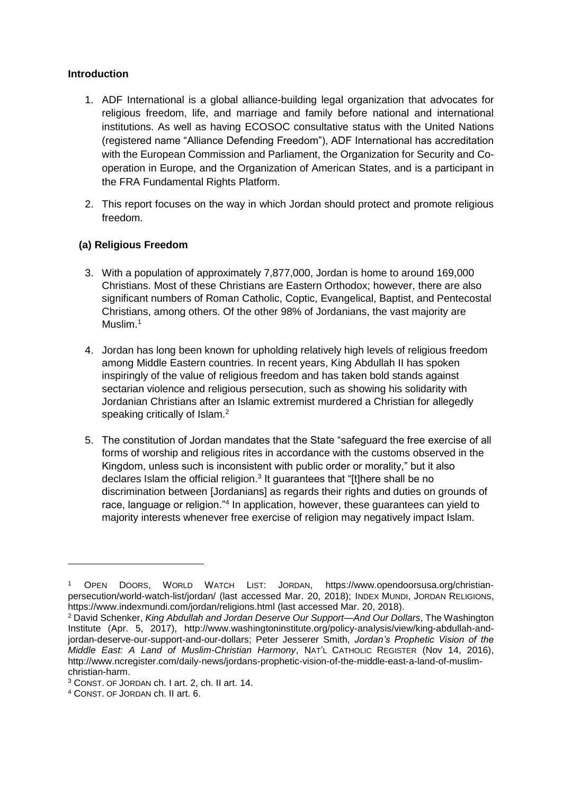#### **Introduction**

- 1. ADF International is a global alliance-building legal organization that advocates for religious freedom, life, and marriage and family before national and international institutions. As well as having ECOSOC consultative status with the United Nations (registered name "Alliance Defending Freedom"), ADF International has accreditation with the European Commission and Parliament, the Organization for Security and Cooperation in Europe, and the Organization of American States, and is a participant in the FRA Fundamental Rights Platform.
- 2. This report focuses on the way in which Jordan should protect and promote religious freedom.

### **(a) Religious Freedom**

- 3. With a population of approximately 7,877,000, Jordan is home to around 169,000 Christians. Most of these Christians are Eastern Orthodox; however, there are also significant numbers of Roman Catholic, Coptic, Evangelical, Baptist, and Pentecostal Christians, among others. Of the other 98% of Jordanians, the vast majority are Muslim.<sup>1</sup>
- 4. Jordan has long been known for upholding relatively high levels of religious freedom among Middle Eastern countries. In recent years, King Abdullah II has spoken inspiringly of the value of religious freedom and has taken bold stands against sectarian violence and religious persecution, such as showing his solidarity with Jordanian Christians after an Islamic extremist murdered a Christian for allegedly speaking critically of Islam.<sup>2</sup>
- 5. The constitution of Jordan mandates that the State "safeguard the free exercise of all forms of worship and religious rites in accordance with the customs observed in the Kingdom, unless such is inconsistent with public order or morality," but it also declares Islam the official religion. $3$  It guarantees that "[t]here shall be no discrimination between [Jordanians] as regards their rights and duties on grounds of race, language or religion."<sup>4</sup> In application, however, these guarantees can yield to majority interests whenever free exercise of religion may negatively impact Islam.

<sup>1</sup> OPEN DOORS, WORLD WATCH LIST: JORDAN, https://www.opendoorsusa.org/christianpersecution/world-watch-list/jordan/ (last accessed Mar. 20, 2018); INDEX MUNDI, JORDAN RELIGIONS, https://www.indexmundi.com/jordan/religions.html (last accessed Mar. 20, 2018).

<sup>2</sup> David Schenker, *King Abdullah and Jordan Deserve Our Support—And Our Dollars*, The Washington Institute (Apr. 5, 2017), http://www.washingtoninstitute.org/policy-analysis/view/king-abdullah-andjordan-deserve-our-support-and-our-dollars; Peter Jesserer Smith, *Jordan's Prophetic Vision of the Middle East: A Land of Muslim-Christian Harmony*, NAT'L CATHOLIC REGISTER (Nov 14, 2016), http://www.ncregister.com/daily-news/jordans-prophetic-vision-of-the-middle-east-a-land-of-muslimchristian-harm.

<sup>3</sup> CONST. OF JORDAN ch. I art. 2, ch. II art. 14.

<sup>4</sup> CONST. OF JORDAN ch. II art. 6.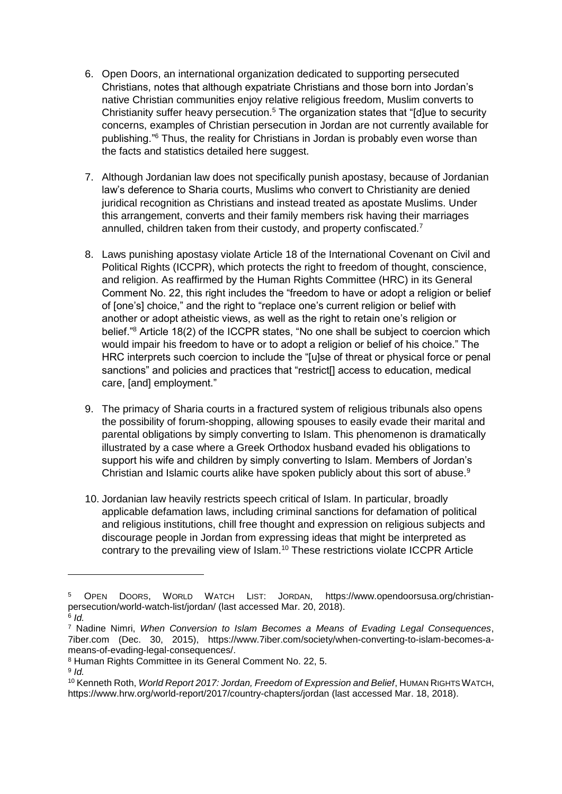- 6. Open Doors, an international organization dedicated to supporting persecuted Christians, notes that although expatriate Christians and those born into Jordan's native Christian communities enjoy relative religious freedom, Muslim converts to Christianity suffer heavy persecution.<sup>5</sup> The organization states that "[d]ue to security concerns, examples of Christian persecution in Jordan are not currently available for publishing."<sup>6</sup> Thus, the reality for Christians in Jordan is probably even worse than the facts and statistics detailed here suggest.
- 7. Although Jordanian law does not specifically punish apostasy, because of Jordanian law's deference to Sharia courts, Muslims who convert to Christianity are denied juridical recognition as Christians and instead treated as apostate Muslims. Under this arrangement, converts and their family members risk having their marriages annulled, children taken from their custody, and property confiscated.<sup>7</sup>
- 8. Laws punishing apostasy violate Article 18 of the International Covenant on Civil and Political Rights (ICCPR), which protects the right to freedom of thought, conscience, and religion. As reaffirmed by the Human Rights Committee (HRC) in its General Comment No. 22, this right includes the "freedom to have or adopt a religion or belief of [one's] choice," and the right to "replace one's current religion or belief with another or adopt atheistic views, as well as the right to retain one's religion or belief."<sup>8</sup> Article 18(2) of the ICCPR states, "No one shall be subject to coercion which would impair his freedom to have or to adopt a religion or belief of his choice." The HRC interprets such coercion to include the "[u]se of threat or physical force or penal sanctions" and policies and practices that "restrict<sup>[]</sup> access to education, medical care, [and] employment."
- 9. The primacy of Sharia courts in a fractured system of religious tribunals also opens the possibility of forum-shopping, allowing spouses to easily evade their marital and parental obligations by simply converting to Islam. This phenomenon is dramatically illustrated by a case where a Greek Orthodox husband evaded his obligations to support his wife and children by simply converting to Islam. Members of Jordan's Christian and Islamic courts alike have spoken publicly about this sort of abuse.<sup>9</sup>
- 10. Jordanian law heavily restricts speech critical of Islam. In particular, broadly applicable defamation laws, including criminal sanctions for defamation of political and religious institutions, chill free thought and expression on religious subjects and discourage people in Jordan from expressing ideas that might be interpreted as contrary to the prevailing view of Islam.<sup>10</sup> These restrictions violate ICCPR Article

<sup>5</sup> OPEN DOORS, WORLD WATCH LIST: JORDAN, https://www.opendoorsusa.org/christianpersecution/world-watch-list/jordan/ (last accessed Mar. 20, 2018). 6 *Id.*

<sup>7</sup> Nadine Nimri, *When Conversion to Islam Becomes a Means of Evading Legal Consequences*, 7iber.com (Dec. 30, 2015), https://www.7iber.com/society/when-converting-to-islam-becomes-ameans-of-evading-legal-consequences/.

<sup>8</sup> Human Rights Committee in its General Comment No. 22, 5.

<sup>9</sup> *Id.*

<sup>10</sup> Kenneth Roth, *World Report 2017: Jordan, Freedom of Expression and Belief*, HUMAN RIGHTS WATCH, https://www.hrw.org/world-report/2017/country-chapters/jordan (last accessed Mar. 18, 2018).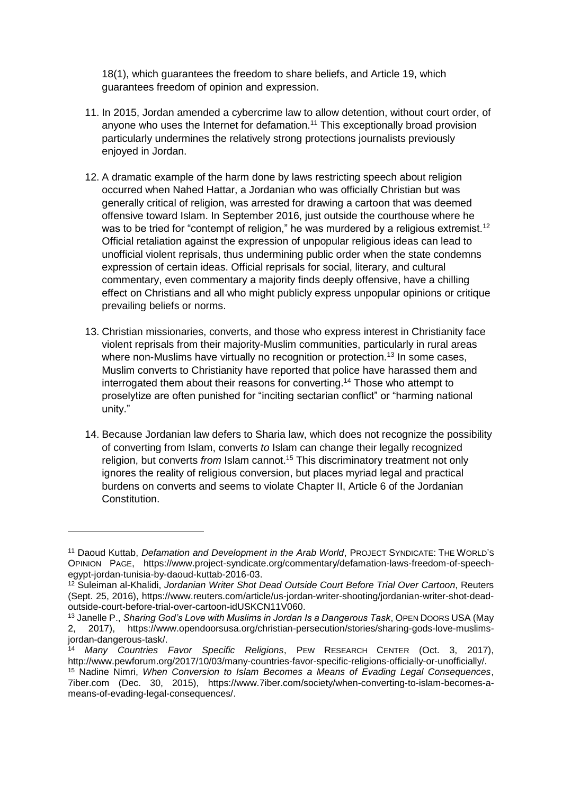18(1), which guarantees the freedom to share beliefs, and Article 19, which guarantees freedom of opinion and expression.

- 11. In 2015, Jordan amended a cybercrime law to allow detention, without court order, of anyone who uses the Internet for defamation.<sup>11</sup> This exceptionally broad provision particularly undermines the relatively strong protections journalists previously enjoyed in Jordan.
- 12. A dramatic example of the harm done by laws restricting speech about religion occurred when Nahed Hattar, a Jordanian who was officially Christian but was generally critical of religion, was arrested for drawing a cartoon that was deemed offensive toward Islam. In September 2016, just outside the courthouse where he was to be tried for "contempt of religion," he was murdered by a religious extremist.<sup>12</sup> Official retaliation against the expression of unpopular religious ideas can lead to unofficial violent reprisals, thus undermining public order when the state condemns expression of certain ideas. Official reprisals for social, literary, and cultural commentary, even commentary a majority finds deeply offensive, have a chilling effect on Christians and all who might publicly express unpopular opinions or critique prevailing beliefs or norms.
- 13. Christian missionaries, converts, and those who express interest in Christianity face violent reprisals from their majority-Muslim communities, particularly in rural areas where non-Muslims have virtually no recognition or protection.<sup>13</sup> In some cases, Muslim converts to Christianity have reported that police have harassed them and interrogated them about their reasons for converting.<sup>14</sup> Those who attempt to proselytize are often punished for "inciting sectarian conflict" or "harming national unity."
- 14. Because Jordanian law defers to Sharia law, which does not recognize the possibility of converting from Islam, converts *to* Islam can change their legally recognized religion, but converts *from* Islam cannot.<sup>15</sup> This discriminatory treatment not only ignores the reality of religious conversion, but places myriad legal and practical burdens on converts and seems to violate Chapter II, Article 6 of the Jordanian Constitution.

<sup>11</sup> Daoud Kuttab, *Defamation and Development in the Arab World*, PROJECT SYNDICATE: THE WORLD'S OPINION PAGE, https://www.project-syndicate.org/commentary/defamation-laws-freedom-of-speechegypt-jordan-tunisia-by-daoud-kuttab-2016-03.

<sup>12</sup> Suleiman al-Khalidi, *Jordanian Writer Shot Dead Outside Court Before Trial Over Cartoon*, Reuters (Sept. 25, 2016), https://www.reuters.com/article/us-jordan-writer-shooting/jordanian-writer-shot-deadoutside-court-before-trial-over-cartoon-idUSKCN11V060.

<sup>13</sup> Janelle P., *Sharing God's Love with Muslims in Jordan Is a Dangerous Task*, OPEN DOORS USA (May 2, 2017), https://www.opendoorsusa.org/christian-persecution/stories/sharing-gods-love-muslimsjordan-dangerous-task/.

<sup>14</sup> *Many Countries Favor Specific Religions*, PEW RESEARCH CENTER (Oct. 3, 2017), http://www.pewforum.org/2017/10/03/many-countries-favor-specific-religions-officially-or-unofficially/. <sup>15</sup> Nadine Nimri, *When Conversion to Islam Becomes a Means of Evading Legal Consequences*, 7iber.com (Dec. 30, 2015), https://www.7iber.com/society/when-converting-to-islam-becomes-a-

means-of-evading-legal-consequences/.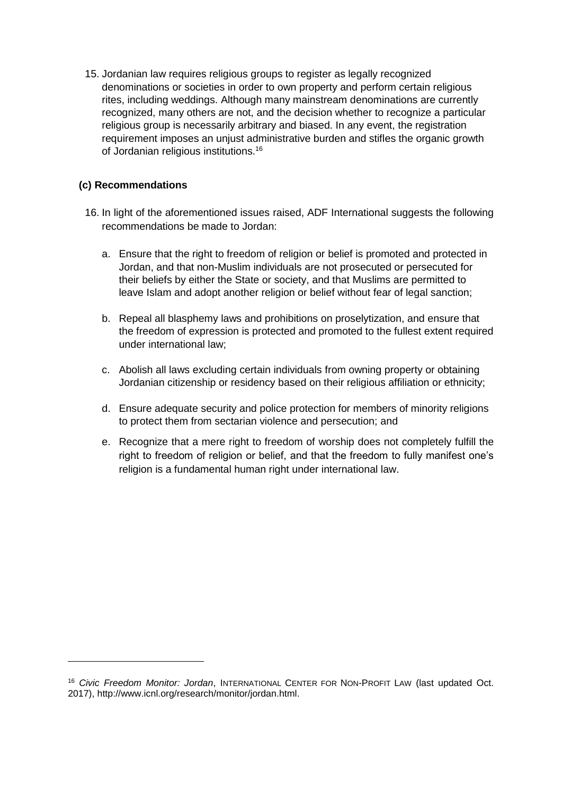15. Jordanian law requires religious groups to register as legally recognized denominations or societies in order to own property and perform certain religious rites, including weddings. Although many mainstream denominations are currently recognized, many others are not, and the decision whether to recognize a particular religious group is necessarily arbitrary and biased. In any event, the registration requirement imposes an unjust administrative burden and stifles the organic growth of Jordanian religious institutions.<sup>16</sup>

### **(c) Recommendations**

- 16. In light of the aforementioned issues raised, ADF International suggests the following recommendations be made to Jordan:
	- a. Ensure that the right to freedom of religion or belief is promoted and protected in Jordan, and that non-Muslim individuals are not prosecuted or persecuted for their beliefs by either the State or society, and that Muslims are permitted to leave Islam and adopt another religion or belief without fear of legal sanction;
	- b. Repeal all blasphemy laws and prohibitions on proselytization, and ensure that the freedom of expression is protected and promoted to the fullest extent required under international law;
	- c. Abolish all laws excluding certain individuals from owning property or obtaining Jordanian citizenship or residency based on their religious affiliation or ethnicity;
	- d. Ensure adequate security and police protection for members of minority religions to protect them from sectarian violence and persecution; and
	- e. Recognize that a mere right to freedom of worship does not completely fulfill the right to freedom of religion or belief, and that the freedom to fully manifest one's religion is a fundamental human right under international law.

<sup>16</sup> *Civic Freedom Monitor: Jordan*, INTERNATIONAL CENTER FOR NON-PROFIT LAW (last updated Oct. 2017), http://www.icnl.org/research/monitor/jordan.html.